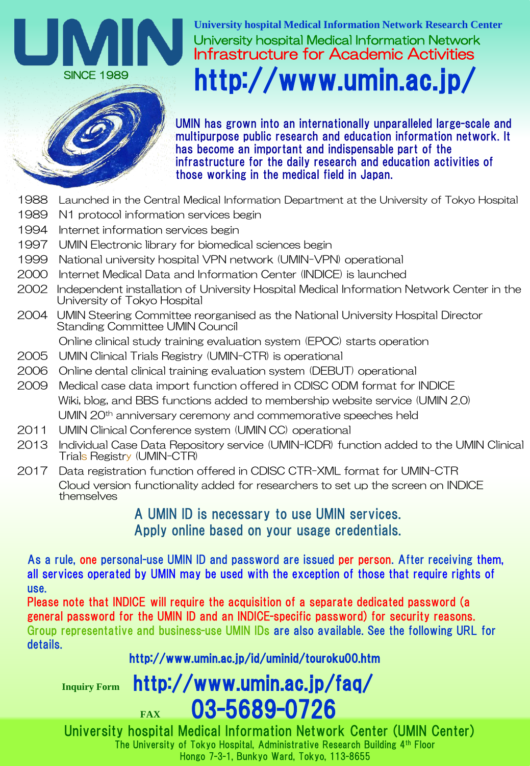

University hospital Medical Information Network **University hospital Medical Information Network Research Center** Infrastructure for Academic Activities http://www.umin.ac.jp/



UMIN has grown into an internationally unparalleled large-scale and multipurpose public research and education information network. It has become an important and indispensable part of the infrastructure for the daily research and education activities of those working in the medical field in Japan.

- 1988 Launched in the Central Medical Information Department at the University of Tokyo Hospital
- 1989 N1 protocol information services begin
- 1994 Internet information services begin
- 1997 UMIN Electronic library for biomedical sciences begin
- 1999 National university hospital VPN network (UMIN-VPN) operational
- 2000 Internet Medical Data and Information Center (INDICE) is launched
- 2002 Independent installation of University Hospital Medical Information Network Center in the University of Tokyo Hospital
- 2004 UMIN Steering Committee reorganised as the National University Hospital Director Standing Committee UMIN Council
	- Online clinical study training evaluation system (EPOC) starts operation
- 2005 UMIN Clinical Trials Registry (UMIN-CTR) is operational
- 2006 Online dental clinical training evaluation system (DEBUT) operational
- 2009 Medical case data import function offered in CDISC ODM format for INDICE Wiki, blog, and BBS functions added to membership website service (UMIN 2.0) UMIN 20th anniversary ceremony and commemorative speeches held
- 2011 UMIN Clinical Conference system (UMIN CC) operational
- 2013 Individual Case Data Repository service (UMIN-ICDR) function added to the UMIN Clinical Trials Registry (UMIN-CTR)
- 2017 Data registration function offered in CDISC CTR-XML format for UMIN-CTR Cloud version functionality added for researchers to set up the screen on INDICE themselves

# A UMIN ID is necessary to use UMIN services. Apply online based on your usage credentials.

As a rule, one personal-use UMIN ID and password are issued per person. After receiving them, all services operated by UMIN may be used with the exception of those that require rights of use.

Please note that INDICE will require the acquisition of a separate dedicated password (a general password for the UMIN ID and an INDICE-specific password) for security reasons. Group representative and business-use UMIN IDs are also available. See the following URL for details.

# http://www.umin.ac.jp/id/uminid/touroku00.htm

**Inquiry Form** http://www.umin.ac.jp/faq/

**FAX** 03-5689-0726 University hospital Medical Information Network Center (UMIN Center) The University of Tokyo Hospital, Administrative Research Building 4th Floor Hongo 7-3-1, Bunkyo Ward, Tokyo, 113-8655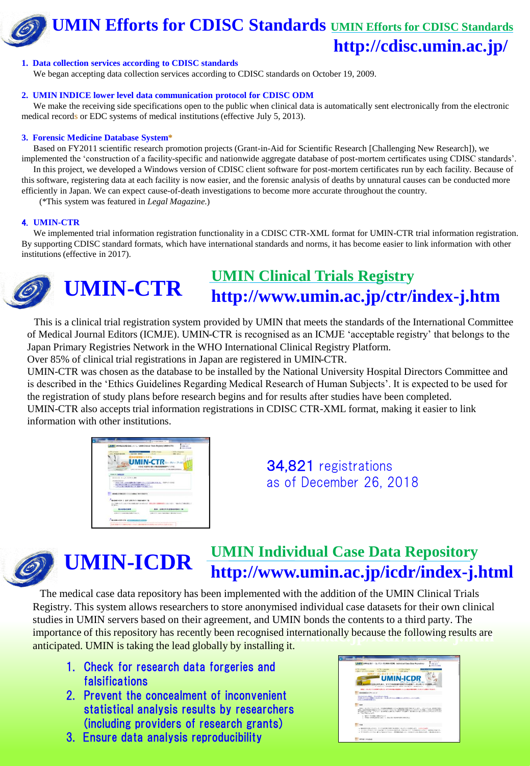# **UMIN Efforts for CDISC Standards UMIN Efforts for CDISC Standards http://cdisc.umin.ac.jp/**



We began accepting data collection services according to CDISC standards on October 19, 2009.

### **2. UMIN INDICE lower level data communication protocol for CDISC ODM**

We make the receiving side specifications open to the public when clinical data is automatically sent electronically from the electronic medical records or EDC systems of medical institutions (effective July 5, 2013).

### **3. Forensic Medicine Database System\***

Based on FY2011 scientific research promotion projects (Grant-in-Aid for Scientific Research [Challenging New Research]), we implemented the 'construction of a facility-specific and nationwide aggregate database of post-mortem certificates using CDISC standards'.

In this project, we developed a Windows version of CDISC client software for post-mortem certificates run by each facility. Because of this software, registering data at each facility is now easier, and the forensic analysis of deaths by unnatural causes can be conducted more efficiently in Japan. We can expect cause-of-death investigations to become more accurate throughout the country.

(\*This system was featured in *Legal Magazine*.)

### 4. **UMIN-CTR**

We implemented trial information registration functionality in a CDISC CTR-XML format for UMIN-CTR trial information registration. By supporting CDISC standard formats, which have international standards and norms, it has become easier to link information with other institutions (effective in 2017).



# **UMIN Clinical Trials Registry http://www.umin.ac.jp/ctr/index-j.htm**

This is a clinical trial registration system provided by UMIN that meets the standards of the International Committee of Medical Journal Editors (ICMJE). UMIN-CTR is recognised as an ICMJE 'acceptable registry' that belongs to the Japan Primary Registries Network in the WHO International Clinical Registry Platform.

Over 85% of clinical trial registrations in Japan are registered in UMIN-CTR.

UMIN-CTR was chosen as the database to be installed by the National University Hospital Directors Committee and is described in the 'Ethics Guidelines Regarding Medical Research of Human Subjects'. It is expected to be used for the registration of study plans before research begins and for results after studies have been completed. UMIN-CTR also accepts trial information registrations in CDISC CTR-XML format, making it easier to link information with other institutions.



34,821 registrations as of December 26, 2018



# **UMIN-ICDR UMIN Individual Case Data Repository http://www.umin.ac.jp/icdr/index-j.html**

The medical case data repository has been implemented with the addition of the UMIN Clinical Trials **j.htmlttps://www.umin.ac.jp/icdr/index-**studies in UMIN servers based on their agreement, and UMIN bonds the contents to a third party. The importance of this repository has recently been recognised internationally because the following results are Registry. This system allows researchers to store anonymised individual case datasets for their own clinical anticipated. UMIN is taking the lead globally by installing it.

- 1. Check for research data forgeries and falsifications
- 2. Prevent the concealment of inconvenient statistical analysis results by researchers (including providers of research grants)
- 3. Ensure data analysis reproducibility

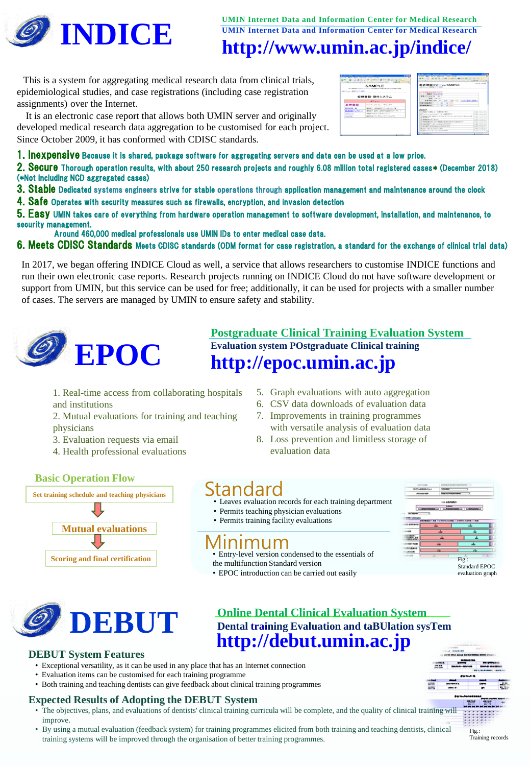

**UMIN Internet Data and Information Center for Medical Research UMIN Internet Data and Information Center for Medical Research**

# **http://www.umin.ac.jp/indice/**

This is a system for aggregating medical research data from clinical trials, epidemiological studies, and case registrations (including case registration assignments) over the Internet.

It is an electronic case report that allows both UMIN server and originally developed medical research data aggregation to be customised for each project. Since October 2009, it has conformed with CDISC standards.

| 1. Inexpensive Because it is shared, package software for aggregating servers and data can be used at a low price. |  |  |  |  |
|--------------------------------------------------------------------------------------------------------------------|--|--|--|--|
|--------------------------------------------------------------------------------------------------------------------|--|--|--|--|

2. Secure Thorough operation results, with about 250 research projects and roughly 6.08 million total registered cases\* (December 2018) (\*Not including NCD aggregated cases)

- 3. Stable Dedicated systems engineers strive for stable operations through application management and maintenance around the clock
- 4. Safe Operates with security measures such as firewalls, encryption, and invasion detection

5. Easy UMIN takes care of everything from hardware operation management to software development, installation, and maintenance, to security management.

Around 460,000 medical professionals use UMIN IDs to enter medical case data.

6. Meets CDISC Standards Meets CDISC standards (ODM format for case registration, a standard for the exchange of clinical trial data)

In 2017, we began offering INDICE Cloud as well, a service that allows researchers to customise INDICE functions and run their own electronic case reports. Research projects running on INDICE Cloud do not have software development or support from UMIN, but this service can be used for free; additionally, it can be used for projects with a smaller number of cases. The servers are managed by UMIN to ensure safety and stability.



### **http://epoc.umin.ac.jp Postgraduate Clinical Training Evaluation System Evaluation system POstgraduate Clinical training**

- 1. Real-time access from collaborating hospitals and institutions
- 2. Mutual evaluations for training and teaching physicians
- 3. Evaluation requests via email
- 4. Health professional evaluations
- 5. Graph evaluations with auto aggregation
- 6. CSV data downloads of evaluation data
- 7. Improvements in training programmes with versatile analysis of evaluation data
- 8. Loss prevention and limitless storage of evaluation data





- Leaves evaluation records for each training department
- Permits teaching physician evaluations
- Permits training facility evaluations

# Minimum

• Entry-level version condensed to the essentials of the multifunction Standard version

• EPOC introduction can be carried out easily



evaluation graph



### **DEBUT System Features**

- Exceptional versatility, as it can be used in any place that has an Internet connection
- Evaluation items can be customised for each training programme
- Both training and teaching dentists can give feedback about clinical training programmes

### **Expected Results of Adopting the DEBUT System**

- The objectives, plans, and evaluations of dentists' clinical training curricula will be complete, and the quality of clinical training will improve.
- By using a mutual evaluation (feedback system) for training programmes elicited from both training and teaching dentists, clinical training systems will be improved through the organisation of better training programmes.

璽  $Fig.$ 

Training records

# SAMPLE 症例登録・割付システム

| LASH ET your CRASH & P. To Market                     | 西者登録フォーム/SAMPLE                                                      | <b>COLLEGE AND INCOME.</b>    |
|-------------------------------------------------------|----------------------------------------------------------------------|-------------------------------|
|                                                       |                                                                      |                               |
| <b>PERMIT GLASSICA PERMIT</b>                         | <b>GENERAL T GOLDANIA COLLANS</b>                                    |                               |
| Michigan Market and Controller                        |                                                                      |                               |
|                                                       | <b>MARI</b> CONTINUES.                                               |                               |
|                                                       | to be striked around the con-<br>AND COMPANY AND COMPANY AND VEHICLE |                               |
| <b>SALES AREA</b>                                     | ×<br>at the<br>$\sim$                                                |                               |
| <b>STATES AS MAYNED IN</b>                            | and the party<br>w<br>$\sim$                                         |                               |
|                                                       |                                                                      |                               |
|                                                       |                                                                      |                               |
|                                                       | a Congor contact 2. Incent in Circu-                                 | divide note a vil             |
|                                                       | Billiar Kennessa Stanja Billia in della Billia Billi                 | 6140-1414 S. 10               |
| <b>SALES AND</b>                                      | MARTIN RECULS that IS IS IN DUTY FEATURE                             | shown I see a lot             |
| <b>Indian consider to the a</b>                       |                                                                      | Allegan a story of the        |
| a. Wallenberghts, Accommodatoration@clevil.com/CPRIn- |                                                                      | 61426-114 m 13                |
| a contradiction company in Linux for-                 |                                                                      | <b>CARL COLLANS</b>           |
| at an index concern and in a district for-            |                                                                      | $25.001 + 21.61 + 3.00$       |
| and with a special full state of the first            |                                                                      | contracts with                |
|                                                       | a law court at course of them.                                       | 43496110416-10                |
|                                                       |                                                                      | <b>With Contract Contract</b> |